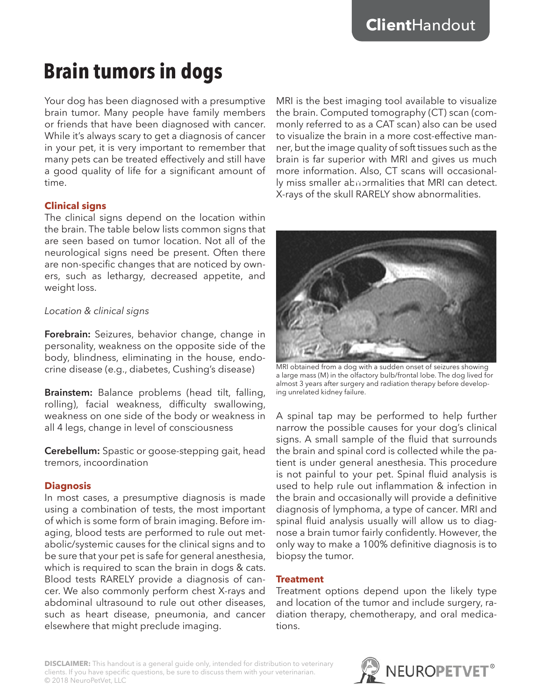# **Brain tumors in dogs**

Your dog has been diagnosed with a presumptive brain tumor. Many people have family members or friends that have been diagnosed with cancer. While it's always scary to get a diagnosis of cancer in your pet, it is very important to remember that many pets can be treated effectively and still have a good quality of life for a significant amount of time.

### **Clinical signs**

The clinical signs depend on the location within the brain. The table below lists common signs that are seen based on tumor location. Not all of the neurological signs need be present. Often there are non-specific changes that are noticed by owners, such as lethargy, decreased appetite, and weight loss.

## *Location & clinical signs*

**Forebrain:** Seizures, behavior change, change in personality, weakness on the opposite side of the body, blindness, eliminating in the house, endocrine disease (e.g., diabetes, Cushing's disease)

**Brainstem:** Balance problems (head tilt, falling, rolling), facial weakness, difficulty swallowing, weakness on one side of the body or weakness in all 4 legs, change in level of consciousness

**Cerebellum:** Spastic or goose-stepping gait, head tremors, incoordination

## **Diagnosis**

In most cases, a presumptive diagnosis is made using a combination of tests, the most important of which is some form of brain imaging. Before imaging, blood tests are performed to rule out metabolic/systemic causes for the clinical signs and to be sure that your pet is safe for general anesthesia, which is required to scan the brain in dogs & cats. Blood tests RARELY provide a diagnosis of cancer. We also commonly perform chest X-rays and abdominal ultrasound to rule out other diseases, such as heart disease, pneumonia, and cancer elsewhere that might preclude imaging.

MRI is the best imaging tool available to visualize the brain. Computed tomography (CT) scan (commonly referred to as a CAT scan) also can be used to visualize the brain in a more cost-effective manner, but the image quality of soft tissues such as the brain is far superior with MRI and gives us much more information. Also, CT scans will occasionally miss smaller abnormalities that MRI can detect. X-rays of the skull RARELY show abnormalities.



MRI obtained from a dog with a sudden onset of seizures showing a large mass (M) in the olfactory bulb/frontal lobe. The dog lived for almost 3 years after surgery and radiation therapy before developing unrelated kidney failure.

A spinal tap may be performed to help further narrow the possible causes for your dog's clinical signs. A small sample of the fluid that surrounds the brain and spinal cord is collected while the patient is under general anesthesia. This procedure is not painful to your pet. Spinal fluid analysis is used to help rule out inflammation & infection in the brain and occasionally will provide a definitive diagnosis of lymphoma, a type of cancer. MRI and spinal fluid analysis usually will allow us to diagnose a brain tumor fairly confidently. However, the only way to make a 100% definitive diagnosis is to biopsy the tumor.

#### **Treatment**

Treatment options depend upon the likely type and location of the tumor and include surgery, radiation therapy, chemotherapy, and oral medications.